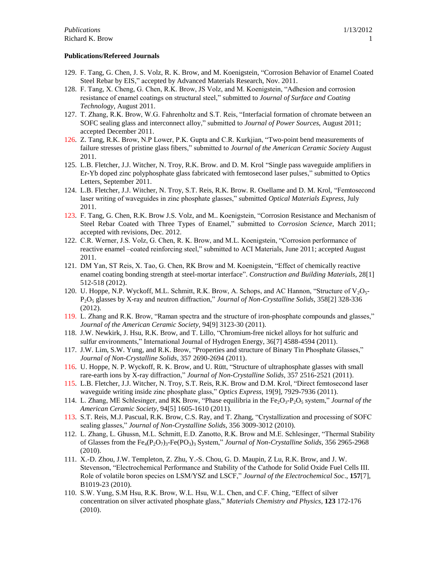#### **Publications/Refereed Journals**

- 129. F. Tang, G. Chen, J. S. Volz, R. K. Brow, and M. Koenigstein, "Corrosion Behavior of Enamel Coated Steel Rebar by EIS," accepted by Advanced Materials Research, Nov. 2011.
- 128. F. Tang, X. Cheng, G. Chen, R.K. Brow, JS Volz, and M. Koenigstein, "Adhesion and corrosion resistance of enamel coatings on structural steel," submitted to *Journal of Surface and Coating Technology*, August 2011.
- 127. T. Zhang, R.K. Brow, W.G. Fahrenholtz and S.T. Reis, "Interfacial formation of chromate between an SOFC sealing glass and interconnect alloy," submitted to *Journal of Power Sources*, August 2011; accepted December 2011.
- 126. Z. Tang, R.K. Brow, N.P Lower, P.K. Gupta and C.R. Kurkjian, "Two-point bend measurements of failure stresses of pristine glass fibers," submitted to *Journal of the American Ceramic Society* August 2011.
- 125. L.B. Fletcher, J.J. Witcher, N. Troy, R.K. Brow. and D. M. Krol "Single pass waveguide amplifiers in Er-Yb doped zinc polyphosphate glass fabricated with femtosecond laser pulses," submitted to Optics Letters, September 2011.
- 124. L.B. Fletcher, J.J. Witcher, N. Troy, S.T. Reis, R.K. Brow. R. Osellame and D. M. Krol, "Femtosecond laser writing of waveguides in zinc phosphate glasses," submitted *Optical Materials Express*, July 2011.
- 123. F. Tang, G. Chen, R.K. Brow J.S. Volz, and M.. Koenigstein, "Corrosion Resistance and Mechanism of Steel Rebar Coated with Three Types of Enamel," submitted to *Corrosion Science*, March 2011; accepted with revisions, Dec. 2012.
- 122. C.R. Werner, J.S. Volz, G. Chen, R. K. Brow, and M.L. Koenigstein, "Corrosion performance of reactive enamel –coated reinforcing steel," submitted to ACI Materials, June 2011; accepted August 2011.
- 121. DM Yan, ST Reis, X. Tao, G. Chen, RK Brow and M. Koenigstein, "Effect of chemically reactive enamel coating bonding strength at steel-mortar interface". *Construction and Building Materials*, 28[1] 512-518 (2012).
- 120. U. Hoppe, N.P. Wyckoff, M.L. Schmitt, R.K. Brow, A. Schops, and AC Hannon, "Structure of  $V_2O_5$ -P2O<sup>5</sup> glasses by X-ray and neutron diffraction," *Journal of Non-Crystalline Solids*, 358[2] 328-336 (2012).
- 119. L. Zhang and R.K. Brow, "Raman spectra and the structure of iron-phosphate compounds and glasses," *Journal of the American Ceramic Society,* 94[9] 3123-30 (2011).
- 118. J.W. Newkirk, J. Hsu, R.K. Brow, and T. Lillo, "Chromium-free nickel alloys for hot sulfuric and sulfur environments," International Journal of Hydrogen Energy, 36[7] 4588-4594 (2011).
- 117. J.W. Lim, S.W. Yung, and R.K. Brow, "Properties and structure of Binary Tin Phosphate Glasses," *Journal of Non-Crystalline Solids*, 357 2690-2694 (2011).
- 116. U. Hoppe, N. P. Wyckoff, R. K. Brow, and U. Rütt, "Structure of ultraphosphate glasses with small rare-earth ions by X-ray diffraction," *Journal of Non-Crystalline Solids*, 357 2516-2521 (2011).
- 115. L.B. Fletcher, J.J. Witcher, N. Troy, S.T. Reis, R.K. Brow and D.M. Krol, "Direct femtosecond laser waveguide writing inside zinc phosphate glass," *Optics Express*, 19[9], 7929-7936 (2011).
- 114. L. Zhang, ME Schlesinger, and RK Brow, "Phase equilibria in the Fe<sub>2</sub>O<sub>3</sub>-P<sub>2</sub>O<sub>5</sub> system," *Journal of the American Ceramic Society*, 94[5] 1605-1610 (2011).
- 113. S.T. Reis, M.J. Pascual, R.K. Brow, C.S. Ray, and T. Zhang, "Crystallization and processing of SOFC sealing glasses," *Journal of Non-Crystalline Solids*, 356 3009-3012 (2010).
- 112. L. Zhang, L. Ghussn, M.L. Schmitt, E.D. Zanotto, R.K. Brow and M.E. Schlesinger, "Thermal Stability of Glasses from the Fe4(P2O7)3-Fe(PO3)<sup>3</sup> System," *Journal of Non-Crystalline Solids*, 356 2965-2968 (2010).
- 111. X.-D. Zhou, J.W. Templeton, Z. Zhu, Y.-S. Chou, G. D. Maupin, Z Lu, R.K. Brow, and J. W. Stevenson, "Electrochemical Performance and Stability of the Cathode for Solid Oxide Fuel Cells III. Role of volatile boron species on LSM/YSZ and LSCF," *Journal of the Electrochemical Soc*., **157**[7], B1019-23 (2010).
- 110. S.W. Yung, S.M Hsu, R.K. Brow, W.L. Hsu, W.L. Chen, and C.F. Ching, "Effect of silver concentration on silver activated phosphate glass," *Materials Chemistry and Physics*, **123** 172-176 (2010).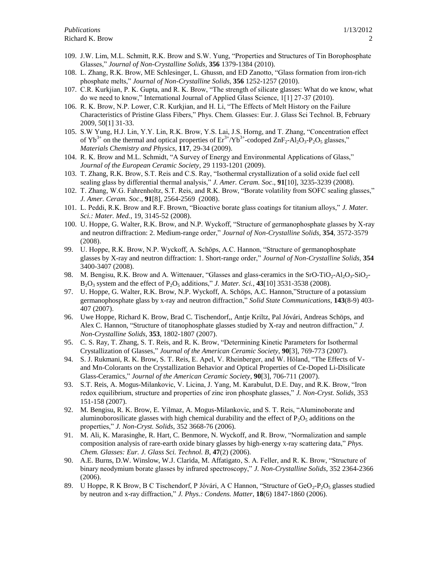- 109. J.W. Lim, M.L. Schmitt, R.K. Brow and S.W. Yung, "Properties and Structures of Tin Borophosphate Glasses," *Journal of Non-Crystalline Solids*, **356** 1379-1384 (2010).
- 108. L. Zhang, R.K. Brow, ME Schlesinger, L. Ghussn, and ED Zanotto, "Glass formation from iron-rich phosphate melts," *Journal of Non-Crystalline Solids*, **356** 1252-1257 (2010).
- 107. C.R. Kurkjian, P. K. Gupta, and R. K. Brow, "The strength of silicate glasses: What do we know, what do we need to know," International Journal of Applied Glass Science, 1[1] 27-37 (2010).
- 106. R. K. Brow, N.P. Lower, C.R. Kurkjian, and H. Li, "The Effects of Melt History on the Failure Characteristics of Pristine Glass Fibers," Phys. Chem. Glasses: Eur. J. Glass Sci Technol. B, February 2009, 50[1] 31-33.
- 105. S.W Yung, H.J. Lin, Y.Y. Lin, R.K. Brow, Y.S. Lai, J.S. Horng, and T. Zhang, "Concentration effect of  $Yb^{3+}$  on the thermal and optical properties of  $Er^{3+}/Yb^{3+}$ -codoped  $ZnF_2-Al_2O_3-P_2O_5$  glasses," *Materials Chemistry and Physics*, **117**, 29-34 (2009).
- 104. R. K. Brow and M.L. Schmidt, "A Survey of Energy and Environmental Applications of Glass," *Journal of the European Ceramic Society*, 29 1193-1201 (2009).
- 103. T. Zhang, R.K. Brow, S.T. Reis and C.S. Ray, "Isothermal crystallization of a solid oxide fuel cell sealing glass by differential thermal analysis," *J. Amer. Ceram. Soc*., **91**[10], 3235-3239 (2008).
- 102. T. Zhang, W.G. Fahrenholtz, S.T. Reis, and R.K. Brow, "Borate volatility from SOFC sealing glasses," *J. Amer. Ceram. Soc*., **91**[8], 2564-2569 (2008).
- 101. L. Peddi, R.K. Brow and R.F. Brown, "Bioactive borate glass coatings for titanium alloys," *J. Mater. Sci.: Mater. Med.*, 19, 3145-52 (2008).
- 100. U. Hoppe, G. Walter, R.K. Brow, and N.P. Wyckoff, "Structure of germanophosphate glasses by X-ray and neutron diffraction: 2. Medium-range order," *Journal of Non-Crystalline Solids,* **354**, 3572-3579 (2008).
- 99. U. Hoppe, R.K. Brow, N.P. Wyckoff, A. Schöps, A.C. Hannon, "Structure of germanophosphate glasses by X-ray and neutron diffraction: 1. Short-range order," *Journal of Non-Crystalline Solids,* **354** 3400-3407 (2008).
- 98. M. Bengisu, R.K. Brow and A. Wittenauer, "Glasses and glass-ceramics in the SrO-TiO<sub>2</sub>-Al<sub>2</sub>O<sub>3</sub>-SiO<sub>2</sub>-B2O<sup>3</sup> system and the effect of P2O<sup>5</sup> additions," *J. Mater. Sci.*, **43**[10] 3531-3538 (2008).
- 97. U. Hoppe, G. Walter, R.K. Brow, N.P. Wyckoff, A. Schöps, A.C. Hannon,"Structure of a potassium germanophosphate glass by x-ray and neutron diffraction," *Solid State Communications*, **143**(8-9) 403- 407 (2007).
- 96. Uwe Hoppe, Richard K. Brow, Brad C. Tischendorf,, Antje Kriltz, Pal Jóvári, Andreas Schöps, and Alex C. Hannon, "Structure of titanophosphate glasses studied by X-ray and neutron diffraction," *J. Non-Crystalline Solids*, **353**, 1802-1807 (2007).
- 95. C. S. Ray, T. Zhang, S. T. Reis, and R. K. Brow, "Determining Kinetic Parameters for Isothermal Crystallization of Glasses," *Journal of the American Ceramic Society*, **90**[3], 769-773 (2007).
- 94. S. J. Rukmani, R. K. Brow, S. T. Reis, E. Apel, V. Rheinberger, and W. Höland, "The Effects of Vand Mn-Colorants on the Crystallization Behavior and Optical Properties of Ce-Doped Li-Disilicate Glass-Ceramics," *Journal of the American Ceramic Society*, **90**[3], 706-711 (2007).
- 93. S.T. Reis, A. Mogus-Milankovic, V. Licina, J. Yang, M. Karabulut, D.E. Day, and R.K. Brow, "Iron redox equilibrium, structure and properties of zinc iron phosphate glasses," *J. Non-Cryst. Solids*, 353 151-158 (2007).
- 92. M. Bengisu, R. K. Brow, E. Yilmaz, A. Mogus-Milankovic, and S. T. Reis, "Aluminoborate and aluminoborosilicate glasses with high chemical durability and the effect of  $P_2O_5$  additions on the properties," *J. Non-Cryst. Solids*, 352 3668-76 (2006).
- 91. M. Ali, K. Marasinghe, R. Hart, C. Benmore, N. Wyckoff, and R. Brow, "Normalization and sample composition analysis of rare-earth oxide binary glasses by high-energy x-ray scattering data," *Phys. Chem. Glasses: Eur. J. Glass Sci. Technol. B*, **47**(2) (2006).
- 90. A.E. Burns, D.W. Winslow, W.J. Clarida, M. Affatigato, S. A. Feller, and R. K. Brow, "Structure of binary neodymium borate glasses by infrared spectroscopy," *J. Non-Crystalline Solids*, 352 2364-2366 (2006).
- 89. U Hoppe, R K Brow, B C Tischendorf, P Jóvári, A C Hannon, "Structure of  $\text{GeO}_2$ -P<sub>2</sub>O<sub>5</sub> glasses studied by neutron and x-ray diffraction," *J. Phys.: Condens. Matter*, **18**(6) 1847-1860 (2006).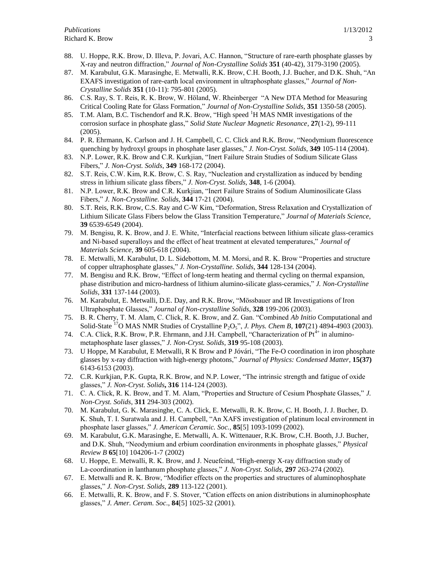- 88. U. Hoppe, R.K. Brow, D. Illeva, P. Jovari, A.C. Hannon, "Structure of rare-earth phosphate glasses by X-ray and neutron diffraction," *Journal of Non-Crystalline Solids* **351** (40-42), 3179-3190 (2005).
- 87. M. Karabulut, G.K. Marasinghe, E. Metwalli, R.K. Brow, C.H. Booth, J.J. Bucher, and D.K. Shuh, "An EXAFS investigation of rare-earth local environment in ultraphosphate glasses," *Journal of Non-Crystalline Solids* **351** (10-11): 795-801 (2005).
- 86. C.S. Ray, S. T. Reis, R. K. Brow, W. Höland, W. Rheinberger "A New DTA Method for Measuring Critical Cooling Rate for Glass Formation," *Journal of Non-Crystalline Solids*, **351** 1350-58 (2005).
- 85. T.M. Alam, B.C. Tischendorf and R.K. Brow, "High speed <sup>1</sup>H MAS NMR investigations of the corrosion surface in phosphate glass," *Solid State Nuclear Magnetic Resonance*, **27**(1-2), 99-111 (2005).
- 84. P. R. Ehrmann, K. Carlson and J. H. Campbell, C. C. Click and R.K. Brow, "Neodymium fluorescence quenching by hydroxyl groups in phosphate laser glasses," *J. Non-Cryst. Solids*, **349** 105-114 (2004).
- 83. N.P. Lower, R.K. Brow and C.R. Kurkjian, "Inert Failure Strain Studies of Sodium Silicate Glass Fibers," *J. Non-Cryst. Solids*, **349** 168-172 (2004).
- 82. S.T. Reis, C.W. Kim, R.K. Brow, C. S. Ray, "Nucleation and crystallization as induced by bending stress in lithium silicate glass fibers," *J. Non-Cryst. Solids*, **348**, 1-6 (2004).
- 81. N.P. Lower, R.K. Brow and C.R. Kurkjian, "Inert Failure Strains of Sodium Aluminosilicate Glass Fibers," *J. Non-Crystalline. Solids*, **344** 17-21 (2004).
- 80. S.T. Reis, R.K. Brow, C.S. Ray and C-W Kim, "Deformation, Stress Relaxation and Crystallization of Lithium Silicate Glass Fibers below the Glass Transition Temperature," *Journal of Materials Science*, **39** 6539-6549 (2004).
- 79. M. Bengisu, R. K. Brow, and J. E. White, "Interfacial reactions between lithium silicate glass-ceramics and Ni-based superalloys and the effect of heat treatment at elevated temperatures," *Journal of Materials Science*, **39** 605-618 (2004).
- 78. E. Metwalli, M. Karabulut, D. L. Sidebottom, M. M. Morsi, and R. K. Brow "Properties and structure of copper ultraphosphate glasses," *J. Non-Crystalline. Solids*, **344** 128-134 (2004).
- 77. M. Bengisu and R.K. Brow, "Effect of long-term heating and thermal cycling on thermal expansion, phase distribution and micro-hardness of lithium alumino-silicate glass-ceramics," *J. Non-Crystalline Solids*, **331** 137-144 (2003).
- 76. M. Karabulut, E. Metwalli, D.E. Day, and R.K. Brow, "Mössbauer and IR Investigations of Iron Ultraphosphate Glasses," *Journal of Non-crystalline Solids*, **328** 199-206 (2003).
- 75. B. R. Cherry, T. M. Alam, C. Click, R. K. Brow, and Z. Gan. "Combined *Ab Initio* Computational and Solid-State <sup>17</sup>O MAS NMR Studies of Crystalline P2O5", *J. Phys. Chem B*, **107**(21) 4894-4903 (2003).
- 74. C.A. Click, R.K. Brow, P.R. Ehrmann, and J.H. Campbell, "Characterization of  $Pt^{4+}$  in aluminometaphosphate laser glasses," *J. Non-Cryst. Solids*, **319** 95-108 (2003).
- 73. U Hoppe, M Karabulut, E Metwalli, R K Brow and P Jóvári, "The Fe-O coordination in iron phosphate glasses by x-ray diffraction with high-energy photons," *Journal of Physics: Condensed Matter*, **15(37)** 6143-6153 (2003).
- 72. C.R. Kurkjian, P.K. Gupta, R.K. Brow, and N.P. Lower, "The intrinsic strength and fatigue of oxide glasses," *J. Non-Cryst. Solids***, 316** 114-124 (2003).
- 71. C. A. Click, R. K. Brow, and T. M. Alam, "Properties and Structure of Cesium Phosphate Glasses," *J. Non-Cryst. Solids*, **311** 294-303 (2002).
- 70. M. Karabulut, G. K. Marasinghe, C. A. Click, E. Metwalli, R. K. Brow, C. H. Booth, J. J. Bucher, D. K. Shuh, T. I. Suratwala and J. H. Campbell, "An XAFS investigation of platinum local environment in phosphate laser glasses," *J. American Ceramic. Soc.*, **85**[5] 1093-1099 (2002).
- 69. M. Karabulut, G.K. Marasinghe, E. Metwalli, A. K. Wittenauer, R.K. Brow, C.H. Booth, J.J. Bucher, and D.K. Shuh, "Neodymium and erbium coordination environments in phosphate glasses," *Physical Review B* **65**[10] 104206-1-7 (2002)
- 68. U. Hoppe, E. Metwalli, R. K. Brow, and J. Neuefeind, "High-energy X-ray diffraction study of La-coordination in lanthanum phosphate glasses," *J. Non-Cryst. Solids*, **297** 263-274 (2002).
- 67. E. Metwalli and R. K. Brow, "Modifier effects on the properties and structures of aluminophosphate glasses," *J. Non-Cryst. Solids*, **289** 113-122 (2001).
- 66. E. Metwalli, R. K. Brow, and F. S. Stover, "Cation effects on anion distributions in aluminophosphate glasses," *J. Amer. Ceram. Soc*., **84**[5] 1025-32 (2001).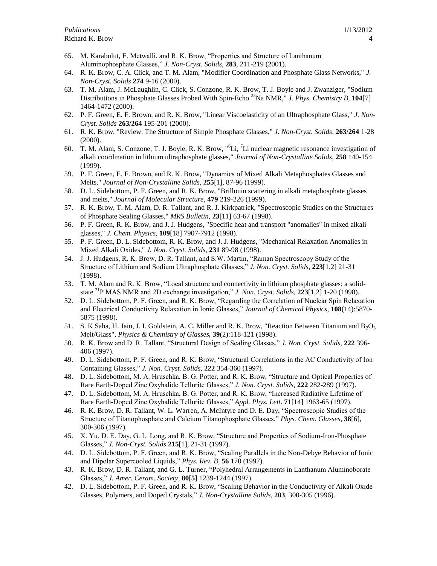- 65. M. Karabulut, E. Metwalli, and R. K. Brow, "Properties and Structure of Lanthanum Aluminophosphate Glasses," *J. Non-Cryst. Solids*, **283**, 211-219 (2001).
- 64. R. K. Brow, C. A. Click, and T. M. Alam, "Modifier Coordination and Phosphate Glass Networks," *J. Non-Cryst. Solids* **274** 9-16 (2000).
- 63. T. M. Alam, J. McLaughlin, C. Click, S. Conzone, R. K. Brow, T. J. Boyle and J. Zwanziger, "Sodium Distributions in Phosphate Glasses Probed With Spin-Echo <sup>23</sup>Na NMR," *J. Phys. Chemistry B*, **104**[7] 1464-1472 (2000).
- 62. P. F. Green, E. F. Brown, and R. K. Brow, "Linear Viscoelasticity of an Ultraphosphate Glass," *J. Non-Cryst. Solids* **263/264** 195-201 (2000).
- 61. R. K. Brow, "Review: The Structure of Simple Phosphate Glasses," *J. Non-Cryst. Solids*, **263/264** 1-28 (2000).
- 60. T. M. Alam, S. Conzone, T. J. Boyle, R. K. Brow, "<sup>6</sup>Li, <sup>7</sup>Li nuclear magnetic resonance investigation of alkali coordination in lithium ultraphosphate glasses," *Journal of Non-Crystalline Solids*, **258** 140-154 (1999).
- 59. P. F. Green, E. F. Brown, and R. K. Brow, "Dynamics of Mixed Alkali Metaphosphates Glasses and Melts," *Journal of Non-Crystalline Solids*, **255**[1], 87-96 (1999).
- 58. D. L. Sidebottom, P. F. Green, and R. K. Brow, "Brillouin scattering in alkali metaphosphate glasses and melts," *Journal of Molecular Structure*, **479** 219-226 (1999).
- 57. R. K. Brow, T. M. Alam, D. R. Tallant, and R. J. Kirkpatrick, "Spectroscopic Studies on the Structures of Phosphate Sealing Glasses," *MRS Bulletin*, **23**[11] 63-67 (1998).
- 56. P. F. Green, R. K. Brow, and J. J. Hudgens, "Specific heat and transport "anomalies" in mixed alkali glasses," *J. Chem. Physics,* **109**[18] 7907-7912 (1998).
- 55. P. F. Green, D. L. Sidebottom, R. K. Brow, and J. J. Hudgens, "Mechanical Relaxation Anomalies in Mixed Alkali Oxides," *J. Non. Cryst. Solids,* **231** 89-98 (1998).
- 54. J. J. Hudgens, R. K. Brow, D. R. Tallant, and S.W. Martin, "Raman Spectroscopy Study of the Structure of Lithium and Sodium Ultraphosphate Glasses," *J. Non. Cryst. Solids,* **223**[1,2] 21-31 (1998).
- 53. T. M. Alam and R. K. Brow, "Local structure and connectivity in lithium phosphate glasses: a solidstate <sup>31</sup>P MAS NMR and 2D exchange investigation," *J. Non. Cryst. Solids,* **223**[1,2] 1-20 (1998).
- 52. D. L. Sidebottom, P. F. Green, and R. K. Brow, "Regarding the Correlation of Nuclear Spin Relaxation and Electrical Conductivity Relaxation in Ionic Glasses," *Journal of Chemical Physics*, **108**(14):5870- 5875 (1998).
- 51. S. K Saha, H. Jain, J. I. Goldstein, A. C. Miller and R. K. Brow, "Reaction Between Titanium and  $B_2O_3$ Melt/Glass", *Physics & Chemistry of Glasses,* **39**(2):118-121 (1998).
- 50. R. K. Brow and D. R. Tallant, "Structural Design of Sealing Glasses," *J. Non. Cryst. Solids,* **222** 396- 406 (1997).
- 49. D. L. Sidebottom, P. F. Green, and R. K. Brow, "Structural Correlations in the AC Conductivity of Ion Containing Glasses," *J. Non. Cryst. Solids,* **222** 354-360 (1997).
- 48. D. L. Sidebottom, M. A. Hruschka, B. G. Potter, and R. K. Brow, "Structure and Optical Properties of Rare Earth-Doped Zinc Oxyhalide Tellurite Glasses," *J. Non. Cryst. Solids,* **222** 282-289 (1997).
- 47. D. L. Sidebottom, M. A. Hruschka, B. G. Potter, and R. K. Brow, "Increased Radiative Lifetime of Rare Earth-Doped Zinc Oxyhalide Tellurite Glasses," *Appl. Phys. Lett*. **71**[14] 1963-65 (1997).
- 46. R. K. Brow, D. R. Tallant, W. L. Warren**,** A. McIntyre and D. E. Day, "Spectroscopic Studies of the Structure of Titanophosphate and Calcium Titanophosphate Glasses," *Phys. Chem. Glasses*, **38**[6], 300-306 (1997).
- 45. X. Yu, D. E. Day, G. L. Long, and R. K. Brow, "Structure and Properties of Sodium-Iron-Phosphate Glasses," *J. Non-Cryst. Solids* **215**[1], 21-31 (1997).
- 44. D. L. Sidebottom, P. F. Green, and R. K. Brow, "Scaling Parallels in the Non-Debye Behavior of Ionic and Dipolar Supercooled Liquids," *Phys. Rev. B*, **56** 170 (1997).
- 43. R. K. Brow, D. R. Tallant, and G. L. Turner, "Polyhedral Arrangements in Lanthanum Aluminoborate Glasses," *J. Amer. Ceram. Society*, **80[5]** 1239-1244 (1997).
- 42. D. L. Sidebottom, P. F. Green, and R. K. Brow, "Scaling Behavior in the Conductivity of Alkali Oxide Glasses, Polymers, and Doped Crystals," *J. Non-Crystalline Solids*, **203**, 300-305 (1996).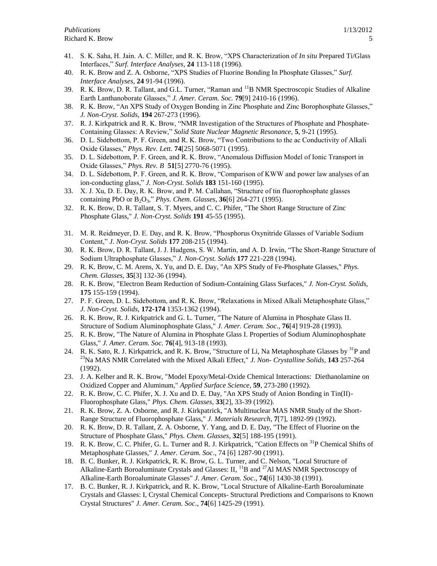- 41. S. K. Saha, H. Jain. A. C. Miller, and R. K. Brow, "XPS Characterization of *In situ* Prepared Ti/Glass Interfaces," *Surf. Interface Analyses*, **24** 113-118 (1996).
- 40. R. K. Brow and Z. A. Osborne, "XPS Studies of Fluorine Bonding In Phosphate Glasses," *Surf. Interface Analyses,* **24** 91-94 (1996).
- 39. R. K. Brow, D. R. Tallant, and G.L. Turner, "Raman and <sup>11</sup>B NMR Spectroscopic Studies of Alkaline Earth Lanthanoborate Glasses," *J. Amer. Ceram. Soc.* **79**[9] 2410-16 (1996).
- 38. R. K. Brow, "An XPS Study of Oxygen Bonding in Zinc Phosphate and Zinc Borophosphate Glasses," *J. Non-Cryst. Solids*, **194** 267-273 (1996).
- 37. R. J. Kirkpatrick and R. K. Brow, "NMR Investigation of the Structures of Phosphate and Phosphate-Containing Glasses: A Review," *Solid State Nuclear Magnetic Resonance,* **5**, 9-21 (1995).
- 36. D. L. Sidebottom, P. F. Green, and R. K. Brow, "Two Contributions to the ac Conductivity of Alkali Oxide Glasses," *Phys. Rev. Lett.* **74**[25] 5068-5071 (1995).
- 35. D. L. Sidebottom, P. F. Green, and R. K. Brow, "Anomalous Diffusion Model of Ionic Transport in Oxide Glasses," *Phys. Rev. B* **51**[5] 2770-76 (1995).
- 34. D. L. Sidebottom, P. F. Green, and R. K. Brow, "Comparison of KWW and power law analyses of an ion-conducting glass," *J. Non-Cryst. Solids* **183** 151-160 (1995).
- 33. X. J. Xu, D. E. Day, R. K. Brow, and P. M. Callahan, "Structure of tin fluorophosphate glasses containing PbO or B2O3," *Phys. Chem. Glasses*, **36**[6] 264-271 (1995).
- 32. R. K. Brow, D. R. Tallant, S. T. Myers, and C. C. Phifer, "The Short Range Structure of Zinc Phosphate Glass," *J. Non-Cryst. Solids* **191** 45-55 (1995).
- 31. M. R. Reidmeyer, D. E. Day, and R. K. Brow, "Phosphorus Oxynitride Glasses of Variable Sodium Content," *J. Non-Cryst. Solids* **177** 208-215 (1994).
- 30. R. K. Brow, D. R. Tallant, J. J. Hudgens, S. W. Martin, and A. D. Irwin, "The Short-Range Structure of Sodium Ultraphosphate Glasses," *J. Non-Cryst. Solids* **177** 221-228 (1994).
- 29. R. K. Brow, C. M. Arens, X. Yu, and D. E. Day, "An XPS Study of Fe-Phosphate Glasses," *Phys. Chem. Glasses*, **35**[3] 132-36 (1994).
- 28. R. K. Brow, "Electron Beam Reduction of Sodium-Containing Glass Surfaces," *J. Non-Cryst. Solids*, **175** 155-159 (1994).
- 27. P. F. Green, D. L. Sidebottom, and R. K. Brow, "Relaxations in Mixed Alkali Metaphosphate Glass," *J. Non-Cryst. Solids*, **172-174** 1353-1362 (1994).
- 26. R. K. Brow, R. J. Kirkpatrick and G. L. Turner, "The Nature of Alumina in Phosphate Glass II. Structure of Sodium Aluminophosphate Glass," *J. Amer. Ceram. Soc*., **76**[4] 919-28 (1993).
- 25. R. K. Brow, "The Nature of Alumina in Phosphate Glass I. Properties of Sodium Aluminophosphate Glass," *J. Amer. Ceram. Soc.* **76**[4], 913-18 (1993).
- 24. R. K. Sato, R. J. Kirkpatrick, and R. K. Brow, "Structure of Li, Na Metaphosphate Glasses by <sup>31</sup>P and <sup>23</sup>Na MAS NMR Correlated with the Mixed Alkali Effect," *J. Non- Crystalline Solids*, **143** 257-264 (1992).
- 23. J. A. Kelber and R. K. Brow, "Model Epoxy/Metal-Oxide Chemical Interactions: Diethanolamine on Oxidized Copper and Aluminum," *Applied Surface Science*, **59**, 273-280 (1992).
- 22. R. K. Brow, C. C. Phifer, X. J. Xu and D. E. Day, "An XPS Study of Anion Bonding in Tin(II)- Fluorophosphate Glass," *Phys. Chem. Glasses*, **33**[2], 33-39 (1992).
- 21. R. K. Brow, Z. A. Osborne, and R. J. Kirkpatrick, "A Multinuclear MAS NMR Study of the Short-Range Structure of Fluorophosphate Glass," *J. Materials Research*, **7**[7], 1892-99 (1992).
- 20. R. K. Brow, D. R. Tallant, Z. A. Osborne, Y. Yang, and D. E. Day, "The Effect of Fluorine on the Structure of Phosphate Glass," *Phys. Chem. Glasses*, **32**[5] 188-195 (1991).
- 19. R. K. Brow, C. C. Phifer, G. L. Turner and R. J. Kirkpatrick, "Cation Effects on <sup>31</sup>P Chemical Shifts of Metaphosphate Glasses," *J. Amer. Ceram. Soc*., 74 [6] 1287-90 (1991).
- 18. B. C. Bunker, R. J. Kirkpatrick, R. K. Brow, G. L. Turner, and C. Nelson, "Local Structure of Alkaline-Earth Boroaluminate Crystals and Glasses:  $II$ ,  $^{11}B$  and  $^{27}Al$  MAS NMR Spectroscopy of Alkaline-Earth Boroaluminate Glasses" *J. Amer. Ceram. Soc*., **74**[6] 1430-38 (1991).
- 17. B. C. Bunker, R. J. Kirkpatrick, and R. K. Brow, "Local Structure of Alkaline-Earth Boroaluminate Crystals and Glasses: I, Crystal Chemical Concepts- Structural Predictions and Comparisons to Known Crystal Structures" *J. Amer. Ceram. Soc*., **74**[6] 1425-29 (1991).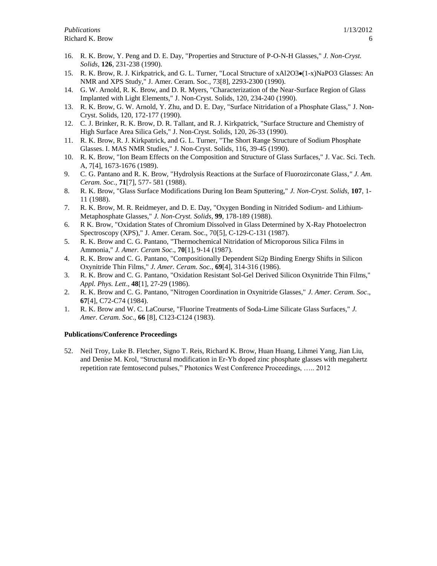- 16. R. K. Brow, Y. Peng and D. E. Day, "Properties and Structure of P-O-N-H Glasses," *J. Non-Cryst. Solids*, **126**, 231-238 (1990).
- 15. R. K. Brow, R. J. Kirkpatrick, and G. L. Turner, "Local Structure of xAl2O3 $\bullet$ (1-x)NaPO3 Glasses: An NMR and XPS Study," J. Amer. Ceram. Soc., 73[8], 2293-2300 (1990).
- 14. G. W. Arnold, R. K. Brow, and D. R. Myers, "Characterization of the Near-Surface Region of Glass Implanted with Light Elements," J. Non-Cryst. Solids, 120, 234-240 (1990).
- 13. R. K. Brow, G. W. Arnold, Y. Zhu, and D. E. Day, "Surface Nitridation of a Phosphate Glass," J. Non-Cryst. Solids, 120, 172-177 (1990).
- 12. C. J. Brinker, R. K. Brow, D. R. Tallant, and R. J. Kirkpatrick, "Surface Structure and Chemistry of High Surface Area Silica Gels," J. Non-Cryst. Solids, 120, 26-33 (1990).
- 11. R. K. Brow, R. J. Kirkpatrick, and G. L. Turner, "The Short Range Structure of Sodium Phosphate Glasses. I. MAS NMR Studies," J. Non-Cryst. Solids, 116, 39-45 (1990).
- 10. R. K. Brow, "Ion Beam Effects on the Composition and Structure of Glass Surfaces," J. Vac. Sci. Tech. A, 7[4], 1673-1676 (1989).
- 9. C. G. Pantano and R. K. Brow, "Hydrolysis Reactions at the Surface of Fluorozirconate Glass*," J. Am. Ceram. Soc.,* **71**[7], 577- 581 (1988).
- 8. R. K. Brow, "Glass Surface Modifications During Ion Beam Sputtering," *J. Non-Cryst. Solids*, **107**, 1- 11 (1988).
- 7. R. K. Brow, M. R. Reidmeyer, and D. E. Day, "Oxygen Bonding in Nitrided Sodium- and Lithium-Metaphosphate Glasses," *J. Non-Cryst. Solids*, **99**, 178-189 (1988).
- 6. R K. Brow, "Oxidation States of Chromium Dissolved in Glass Determined by X-Ray Photoelectron Spectroscopy (XPS)," J. Amer. Ceram. Soc., 70[5], C-129-C-131 (1987).
- 5. R. K. Brow and C. G. Pantano, "Thermochemical Nitridation of Microporous Silica Films in Ammonia," *J. Amer. Ceram Soc*., **70**[1], 9-14 (1987).
- 4. R. K. Brow and C. G. Pantano, "Compositionally Dependent Si2p Binding Energy Shifts in Silicon Oxynitride Thin Films," *J. Amer. Ceram. Soc.*, **69**[4], 314-316 (1986).
- 3. R. K. Brow and C. G. Pantano, "Oxidation Resistant Sol-Gel Derived Silicon Oxynitride Thin Films," *Appl. Phys. Lett*., **48**[1], 27-29 (1986).
- 2. R. K. Brow and C. G. Pantano, "Nitrogen Coordination in Oxynitride Glasses," *J. Amer. Ceram. Soc*., **67**[4], C72-C74 (1984).
- 1. R. K. Brow and W. C. LaCourse, "Fluorine Treatments of Soda-Lime Silicate Glass Surfaces," *J. Amer. Ceram. Soc*., **66** [8], C123-C124 (1983).

## **Publications/Conference Proceedings**

52. Neil Troy, Luke B. Fletcher, Signo T. Reis, Richard K. Brow, Huan Huang, Lihmei Yang, Jian Liu, and Denise M. Krol, "Structural modification in Er-Yb doped zinc phosphate glasses with megahertz repetition rate femtosecond pulses," Photonics West Conference Proceedings, ….. 2012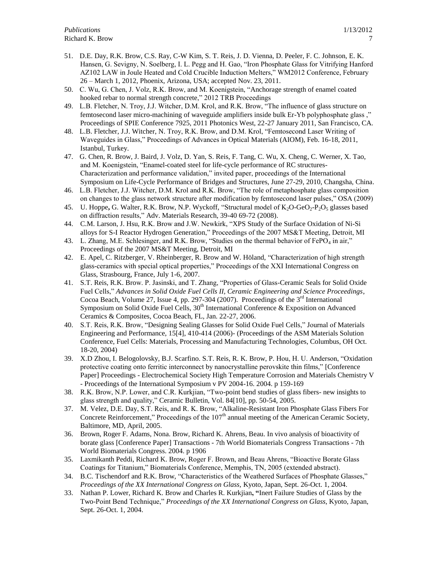- 51. D.E. Day, R.K. Brow, C.S. Ray, C-W Kim, S. T. Reis, J. D. Vienna, D. Peeler, F. C. Johnson, E. K. Hansen, G. Sevigny, N. Soelberg, I. L. Pegg and H. Gao, "Iron Phosphate Glass for Vitrifying Hanford AZ102 LAW in Joule Heated and Cold Crucible Induction Melters," WM2012 Conference, February 26 – March 1, 2012, Phoenix, Arizona, USA; accepted Nov. 23, 2011.
- 50. C. Wu, G. Chen, J. Volz, R.K. Brow, and M. Koenigstein, "Anchorage strength of enamel coated hooked rebar to normal strength concrete," 2012 TRB Proceedings
- 49. L.B. Fletcher, N. Troy, J.J. Witcher, D.M. Krol, and R.K. Brow, "The influence of glass structure on femtosecond laser micro-machining of waveguide amplifiers inside bulk Er-Yb polyphosphate glass ," Proceedings of SPIE Conference 7925, 2011 Photonics West, 22-27 January 2011, San Francisco, CA.
- 48. L.B. Fletcher, J.J. Witcher, N. Troy, R.K. Brow, and D.M. Krol, "Femtosecond Laser Writing of Waveguides in Glass," Proceedings of Advances in Optical Materials (AIOM), Feb. 16-18, 2011, Istanbul, Turkey.
- 47. G. Chen, R. Brow, J. Baird, J. Volz, D. Yan, S. Reis, F. Tang, C. Wu, X. Cheng, C. Werner, X. Tao, and M. Koenigstein, "Enamel-coated steel for life-cycle performance of RC structures-Characterization and performance validation," invited paper, proceedings of the International Symposium on Life-Cycle Performance of Bridges and Structures, June 27-29, 2010, Changsha, China.
- 46. L.B. Fletcher, J.J. Witcher, D.M. Krol and R.K. Brow, "The role of metaphosphate glass composition on changes to the glass network structure after modification by femtosecond laser pulses," OSA (2009)
- 45. U. Hoppe, G. Walter, R.K. Brow, N.P. Wyckoff, "Structural model of K<sub>2</sub>O-GeO<sub>2</sub>-P<sub>2</sub>O<sub>5</sub> glasses based on diffraction results," Adv. Materials Research, 39-40 69-72 (2008).
- 44. C.M. Larson, J. Hsu, R.K. Brow and J.W. Newkirk, "XPS Study of the Surface Oxidation of Ni-Si alloys for S-I Reactor Hydrogen Generation," Proceedings of the 2007 MS&T Meeting, Detroit, MI
- 43. L. Zhang, M.E. Schlesinger, and R.K. Brow, "Studies on the thermal behavior of  $FePO<sub>4</sub>$  in air," Proceedings of the 2007 MS&T Meeting, Detroit, MI
- 42. E. Apel, C. Ritzberger, V. Rheinberger, R. Brow and W. Höland, "Characterization of high strength glass-ceramics with special optical properties," Proceedings of the XXI International Congress on Glass, Strasbourg, France, July 1-6, 2007.
- 41. S.T. Reis, R.K. Brow. P. Jasinski, and T. Zhang, "Properties of Glass-Ceramic Seals for Solid Oxide Fuel Cells," *Advances in Solid Oxide Fuel Cells II, Ceramic Engineering and Science Proceedings*, Cocoa Beach, Volume 27, Issue 4, pp. 297-304 (2007). Proceedings of the 3<sup>rd</sup> International Symposium on Solid Oxide Fuel Cells,  $30<sup>th</sup>$  International Conference & Exposition on Advanced Ceramics & Composites, Cocoa Beach, FL, Jan. 22-27, 2006.
- 40. S.T. Reis, R.K. Brow, "Designing Sealing Glasses for Solid Oxide Fuel Cells," Journal of Materials Engineering and Performance, 15[4], 410-414 (2006)- (Proceedings of the ASM Materials Solution Conference, Fuel Cells: Materials, Processing and Manufacturing Technologies, Columbus, OH Oct. 18-20, 2004)
- 39. X.D Zhou, I. Belogolovsky, B.J. Scarfino. S.T. Reis, R. K. Brow, P. Hou, H. U. Anderson, "Oxidation protective coating onto ferritic interconnect by nanocrystalline perovskite thin films," [Conference Paper] Proceedings - Electrochemical Society High Temperature Corrosion and Materials Chemistry V - Proceedings of the International Symposium v PV 2004-16. 2004. p 159-169
- 38. R.K. Brow, N.P. Lower, and C.R. Kurkjian, "Two-point bend studies of glass fibers- new insights to glass strength and quality," Ceramic Bulletin, Vol. 84[10], pp. 50-54, 2005.
- 37. M. Velez, D.E. Day, S.T. Reis, and R. K. Brow, "Alkaline-Resistant Iron Phosphate Glass Fibers For Concrete Reinforcement," Proceedings of the  $107<sup>th</sup>$  annual meeting of the American Ceramic Society, Baltimore, MD, April, 2005.
- 36. Brown, Roger F. Adams, Nona. Brow, Richard K. Ahrens, Beau. In vivo analysis of bioactivity of borate glass [Conference Paper] Transactions - 7th World Biomaterials Congress Transactions - 7th World Biomaterials Congress. 2004. p 1906
- 35. Laxmikanth Peddi, Richard K. Brow, Roger F. Brown, and Beau Ahrens, "Bioactive Borate Glass Coatings for Titanium," Biomaterials Conference, Memphis, TN, 2005 (extended abstract).
- 34. B.C. Tischendorf and R.K. Brow, "Characteristics of the Weathered Surfaces of Phosphate Glasses," *Proceedings of the XX International Congress on Glass,* Kyoto, Japan, Sept. 26-Oct. 1, 2004.
- 33. Nathan P. Lower, Richard K. Brow and Charles R. Kurkjian**, "**Inert Failure Studies of Glass by the Two-Point Bend Technique," *Proceedings of the XX International Congress on Glass*, Kyoto, Japan, Sept. 26-Oct. 1, 2004.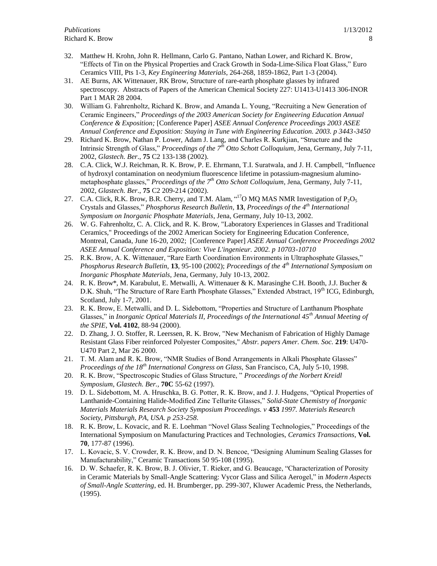- 32. Matthew H. Krohn, John R. Hellmann, Carlo G. Pantano, Nathan Lower, and Richard K. Brow, "Effects of Tin on the Physical Properties and Crack Growth in Soda-Lime-Silica Float Glass," Euro Ceramics VIII, Pts 1-3, *Key Engineering Materials*, 264-268, 1859-1862, Part 1-3 (2004).
- 31. AE Burns, AK Wittenauer, RK Brow, [Structure of rare-earth phosphate glasses by infrared](/?SID=Hb4HChbFK12Pm9mPcE@&Func=Abstract&doc=3/1)  [spectroscopy.](/?SID=Hb4HChbFK12Pm9mPcE@&Func=Abstract&doc=3/1) Abstracts of Papers of the American Chemical Society 227: U1413-U1413 306-INOR Part 1 MAR 28 2004.
- 30. William G. Fahrenholtz, Richard K. Brow, and Amanda L. Young, "Recruiting a New Generation of Ceramic Engineers," *Proceedings of the 2003 American Society for Engineering Education Annual Conference & Exposition;* [Conference Paper] *ASEE Annual Conference Proceedings 2003 ASEE Annual Conference and Exposition: Staying in Tune with Engineering Education. 2003. p 3443-3450*
- 29. Richard K. Brow, Nathan P. Lower, Adam J. Lang, and Charles R. Kurkjian, "Structure and the Intrinsic Strength of Glass," *Proceedings of the 7th Otto Schott Colloquium*, Jena, Germany, July 7-11, 2002, *Glastech. Ber*., **75** C2 133-138 (2002).
- 28. C.A. Click, W.J. Reichman, R. K. Brow, P. E. Ehrmann, T.I. Suratwala, and J. H. Campbell, "Influence of hydroxyl contamination on neodymium fluorescence lifetime in potassium-magnesium aluminometaphosphate glasses," *Proceedings of the 7th Otto Schott Colloquium*, Jena, Germany, July 7-11, 2002, *Glastech. Ber*., **75** C2 209-214 (2002).
- 27. C.A. Click, R.K. Brow, B.R. Cherry, and T.M. Alam,  $17$ O MQ MAS NMR Investigation of P<sub>2</sub>O<sub>5</sub> Crystals and Glasses," *Phosphorus Research Bulletin*, **13**, *Proceedings of the 4th International Symposium on Inorganic Phosphate Materials*, Jena, Germany, July 10-13, 2002.
- 26. W. G. Fahrenholtz, C. A. Click, and R. K. Brow, "Laboratory Experiences in Glasses and Traditional Ceramics," Proceedings of the 2002 American Society for Engineering Education Conference, Montreal, Canada, June 16-20, 2002; [Conference Paper] *ASEE Annual Conference Proceedings 2002 ASEE Annual Conference and Exposition: Vive L'ingenieur. 2002. p 10703-10710*
- 25. R.K. Brow, A. K. Wittenauer, "Rare Earth Coordination Environments in Ultraphosphate Glasses," *Phosphorus Research Bulletin*, **13**, 95-100 (2002); *Proceedings of the 4th International Symposium on Inorganic Phosphate Materials*, Jena, Germany, July 10-13, 2002.
- 24. R. K. Brow\*, M. Karabulut, E. Metwalli, A. Wittenauer & K. Marasinghe C.H. Booth, J.J. Bucher & D.K. Shuh, "The Structure of Rare Earth Phosphate Glasses," Extended Abstract, 19<sup>th</sup> ICG, Edinburgh, Scotland, July 1-7, 2001.
- 23. R. K. Brow, E. Metwalli, and D. L. Sidebottom, "Properties and Structure of Lanthanum Phosphate Glasses," in *Inorganic Optical Materials II, Proceedings of the International 45th Annual Meeting of the SPIE*, **Vol. 4102**, 88-94 (2000).
- 22. D. Zhang, J. O. Stoffer, R. Leerssen, R. K. Brow, "New Mechanism of Fabrication of Highly Damage Resistant Glass Fiber reinforced Polyester Composites," *Abstr. papers Amer. Chem. Soc.* **219**: U470- U470 Part 2, Mar 26 2000.
- 21. T. M. Alam and R. K. Brow, "NMR Studies of Bond Arrangements in Alkali Phosphate Glasses" *Proceedings of the 18th International Congress on Glass,* San Francisco, CA, July 5-10, 1998.
- 20. R. K. Brow, "Spectroscopic Studies of Glass Structure, " *Proceedings of the Norbert Kreidl Symposium*, *Glastech. Ber.,* **70C** 55-62 (1997).
- 19. D. L. Sidebottom, M. A. Hruschka, B. G. Potter, R. K. Brow, and J. J. Hudgens, "Optical Properties of Lanthanide-Containing Halide-Modified Zinc Tellurite Glasses," *Solid-State Chemistry of Inorganic Materials Materials Research Society Symposium Proceedings. v* **453** *1997. Materials Research Society, Pittsburgh, PA, USA. p 253-258*.
- 18. R. K. Brow, L. Kovacic, and R. E. Loehman "Novel Glass Sealing Technologies," Proceedings of the International Symposium on Manufacturing Practices and Technologies, *Ceramics Transactions*, **Vol. 70**, 177-87 (1996).
- 17. L. Kovacic, S. V. Crowder, R. K. Brow, and D. N. Bencoe, "Designing Aluminum Sealing Glasses for Manufacturability," Ceramic Transactions 50 95-108 (1995).
- 16. D. W. Schaefer, R. K. Brow, B. J. Olivier, T. Rieker, and G. Beaucage, "Characterization of Porosity in Ceramic Materials by Small-Angle Scattering: Vycor Glass and Silica Aerogel," in *Modern Aspects of Small-Angle Scattering*, ed. H. Brumberger, pp. 299-307, Kluwer Academic Press, the Netherlands, (1995).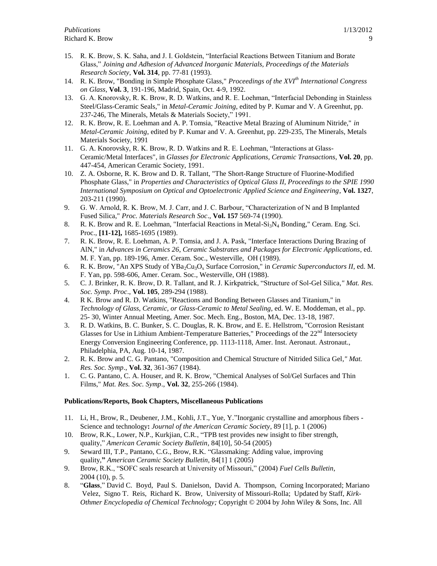- 15. R. K. Brow, S. K. Saha, and J. I. Goldstein, "Interfacial Reactions Between Titanium and Borate Glass," *Joining and Adhesion of Advanced Inorganic Materials, Proceedings of the Materials Research Society*, **Vol. 314**, pp. 77-81 (1993).
- 14. R. K. Brow, "Bonding in Simple Phosphate Glass," *Proceedings of the XVIth International Congress on Glass*, **Vol. 3**, 191-196, Madrid, Spain, Oct. 4-9, 1992.
- 13. G. A. Knorovsky, R. K. Brow, R. D. Watkins, and R. E. Loehman, "Interfacial Debonding in Stainless Steel/Glass-Ceramic Seals," in *Metal-Ceramic Joining*, edited by P. Kumar and V. A Greenhut, pp. 237-246, The Minerals, Metals & Materials Society," 1991.
- 12. R. K. Brow, R. E. Loehman and A. P. Tomsia, "Reactive Metal Brazing of Aluminum Nitride," *in Metal-Ceramic Joining*, edited by P. Kumar and V. A. Greenhut, pp. 229-235, The Minerals, Metals Materials Society, 1991
- 11. G. A. Knorovsky, R. K. Brow, R. D. Watkins and R. E. Loehman, "Interactions at Glass-Ceramic/Metal Interfaces", in *Glasses for Electronic Applications*, *Ceramic Transactions*, **Vol. 20**, pp. 447-454, American Ceramic Society, 1991.
- 10. Z. A. Osborne, R. K. Brow and D. R. Tallant, "The Short-Range Structure of Fluorine-Modified Phosphate Glass," in *Properties and Characteristics of Optical Glass II, Proceedings to the SPIE 1990 International Symposium on Optical and Optoelectronic Applied Science and Engineering*, **Vol. 1327**, 203-211 (1990).
- 9. G. W. Arnold, R. K. Brow, M. J. Carr, and J. C. Barbour, "Characterization of N and B Implanted Fused Silica," *Proc. Materials Research Soc*., **Vol. 157** 569-74 (1990).
- 8. R. K. Brow and R. E. Loehman, "Interfacial Reactions in Metal- $Si<sub>3</sub>N<sub>4</sub>$  Bonding," Ceram. Eng. Sci. Proc., **[11-12],** 1685-1695 (1989).
- 7. R. K. Brow, R. E. Loehman, A. P. Tomsia, and J. A. Pask, "Interface Interactions During Brazing of AlN," in *Advances in Ceramics 26*, *Ceramic Substrates and Packages for Electronic Applications*, ed. M. F. Yan, pp. 189-196, Amer. Ceram. Soc., Westerville, OH (1989).
- 6. R. K. Brow, "An XPS Study of YBa2Cu3O<sup>x</sup> Surface Corrosion," in *Ceramic Superconductors II*, ed. M. F. Yan, pp. 598-606, Amer. Ceram. Soc., Westerville, OH (1988).
- 5. C. J. Brinker, R. K. Brow, D. R. Tallant, and R. J. Kirkpatrick, "Structure of Sol-Gel Silica*," Mat. Res. Soc. Symp. Proc*., **Vol. 105**, 289-294 (1988).
- 4. R K. Brow and R. D. Watkins, "Reactions and Bonding Between Glasses and Titanium," in *Technology of Glass, Ceramic, or Glass-Ceramic to Metal Sealing*, ed. W. E. Moddeman, et al., pp. 25- 30, Winter Annual Meeting, Amer. Soc. Mech. Eng., Boston, MA, Dec. 13-18, 1987.
- 3. R. D. Watkins, B. C. Bunker, S. C. Douglas, R. K. Brow, and E. E. Hellstrom, "Corrosion Resistant Glasses for Use in Lithium Ambient-Temperature Batteries," Proceedings of the  $22<sup>nd</sup>$  Intersociety Energy Conversion Engineering Conference, pp. 1113-1118, Amer. Inst. Aeronaut. Astronaut., Philadelphia, PA, Aug. 10-14, 1987.
- 2. R. K. Brow and C. G. Pantano, "Composition and Chemical Structure of Nitrided Silica Gel*," Mat. Res. Soc. Symp*., **Vol. 32**, 361-367 (1984).
- 1. C. G. Pantano, C. A. Houser, and R. K. Brow, "Chemical Analyses of Sol/Gel Surfaces and Thin Films," *Mat. Res. Soc. Symp*., **Vol. 32**, 255-266 (1984).

## **Publications/Reports, Book Chapters, Miscellaneous Publications**

- 11. Li, H., Brow, R., Deubener, J.M., Kohli, J.T., Yue, Y."Inorganic crystalline and amorphous fibers Science and technology**:** *Journal of the American Ceramic Society*, 89 [1], p. 1 (2006)
- 10. Brow, R.K., Lower, N.P., Kurkjian, C.R., "TPB test provides new insight to fiber strength, quality," *American Ceramic Society Bulletin*, 84[10], 50-54 (2005)
- 9. Seward III, T.P., Pantano, C.G., Brow, R.K. "Glassmaking: Adding value, improving quality,**"** *American Ceramic Society Bulletin*, 84[1] 1 (2005)
- 9. Brow, R.K., "SOFC seals research at University of Missouri," (2004) *Fuel Cells Bulletin*, 2004 (10), p. 5.
- 8. "**Glass**," David C. Boyd, Paul S. Danielson, David A. Thompson, Corning Incorporated; Mariano Velez, Signo T. Reis, Richard K. Brow, University of Missouri-Rolla; Updated by Staff, *Kirk-Othmer Encyclopedia of Chemical Technology;* Copyright © 2004 by John Wiley & Sons, Inc. All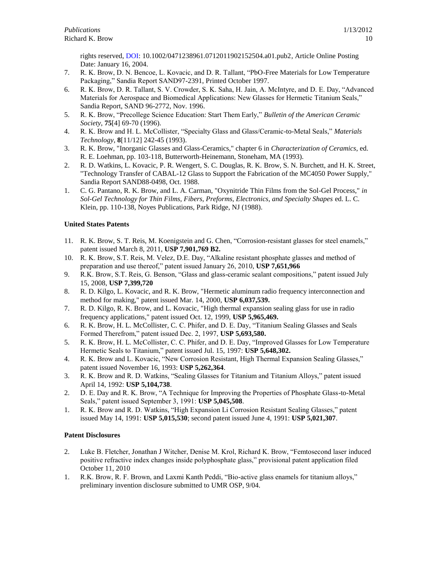rights reserved, [DOI:](http://www3.interscience.wiley.com/doiinfo.html) 10.1002/0471238961.0712011902152504.a01.pub2, Article Online Posting Date: January 16, 2004.

- 7. R. K. Brow, D. N. Bencoe, L. Kovacic, and D. R. Tallant, "PbO-Free Materials for Low Temperature Packaging," Sandia Report SAND97-2391, Printed October 1997.
- 6. R. K. Brow, D. R. Tallant, S. V. Crowder, S. K. Saha, H. Jain, A. McIntyre, and D. E. Day, "Advanced Materials for Aerospace and Biomedical Applications: New Glasses for Hermetic Titanium Seals," Sandia Report, SAND 96-2772, Nov. 1996.
- 5. R. K. Brow, "Precollege Science Education: Start Them Early," *Bulletin of the American Ceramic Society*, **75**[4] 69-70 (1996).
- 4. R. K. Brow and H. L. McCollister, "Specialty Glass and Glass/Ceramic-to-Metal Seals," *Materials Technology*, **8**[11/12] 242-45 (1993).
- 3. R. K. Brow, "Inorganic Glasses and Glass-Ceramics," chapter 6 in *Characterization of Ceramics*, ed. R. E. Loehman, pp. 103-118, Butterworth-Heinemann, Stoneham, MA (1993).
- 2. R. D. Watkins, L. Kovacic, P. R. Wengert, S. C. Douglas, R. K. Brow, S. N. Burchett, and H. K. Street, "Technology Transfer of CABAL-12 Glass to Support the Fabrication of the MC4050 Power Supply," Sandia Report SAND88-0498, Oct. 1988.
- 1. C. G. Pantano, R. K. Brow, and L. A. Carman, "Oxynitride Thin Films from the Sol-Gel Process," *in Sol-Gel Technology for Thin Films, Fibers, Preforms, Electronics, and Specialty Shapes* ed. L. C. Klein, pp. 110-138, Noyes Publications, Park Ridge, NJ (1988).

# **United States Patents**

- 11. R. K. Brow, S. T. Reis, M. Koenigstein and G. Chen, "Corrosion-resistant glasses for steel enamels," patent issued March 8, 2011, **USP 7,901,769 B2.**
- 10. R. K. Brow, S.T. Reis, M. Velez, D.E. Day, "Alkaline resistant phosphate glasses and method of preparation and use thereof," patent issued January 26, 2010, **USP 7,651,966**
- 9. R.K. Brow, S.T. Reis, G. Benson, "Glass and glass-ceramic sealant compositions," patent issued July 15, 2008, **USP 7,399,720**
- 8. R. D. Kilgo, L. Kovacic, and R. K. Brow, "Hermetic aluminum radio frequency interconnection and method for making," patent issued Mar. 14, 2000, **USP 6,037,539.**
- 7. R. D. Kilgo, R. K. Brow, and L. Kovacic, "High thermal expansion sealing glass for use in radio frequency applications," patent issued Oct. 12, 1999, **USP 5,965,469.**
- 6. R. K. Brow, H. L. McCollister, C. C. Phifer, and D. E. Day, "Titanium Sealing Glasses and Seals Formed Therefrom," patent issued Dec. 2, 1997, **USP 5,693,580.**
- 5. R. K. Brow, H. L. McCollister, C. C. Phifer, and D. E. Day, "Improved Glasses for Low Temperature Hermetic Seals to Titanium," patent issued Jul. 15, 1997: **USP 5,648,302.**
- 4. R. K. Brow and L. Kovacic, "New Corrosion Resistant, High Thermal Expansion Sealing Glasses," patent issued November 16, 1993: **USP 5,262,364**.
- 3. R. K. Brow and R. D. Watkins, "Sealing Glasses for Titanium and Titanium Alloys," patent issued April 14, 1992: **USP 5,104,738**.
- 2. D. E. Day and R. K. Brow, "A Technique for Improving the Properties of Phosphate Glass-to-Metal Seals," patent issued September 3, 1991: **USP 5,045,508**.
- 1. R. K. Brow and R. D. Watkins, "High Expansion Li Corrosion Resistant Sealing Glasses," patent issued May 14, 1991: **USP 5,015,530**; second patent issued June 4, 1991: **USP 5,021,307**.

## **Patent Disclosures**

- 2. Luke B. Fletcher, Jonathan J Witcher, Denise M. Krol, Richard K. Brow, "Femtosecond laser induced positive refractive index changes inside polyphosphate glass," provisional patent application filed October 11, 2010
- 1. R.K. Brow, R. F. Brown, and Laxmi Kanth Peddi, "Bio-active glass enamels for titanium alloys," preliminary invention disclosure submitted to UMR OSP, 9/04.